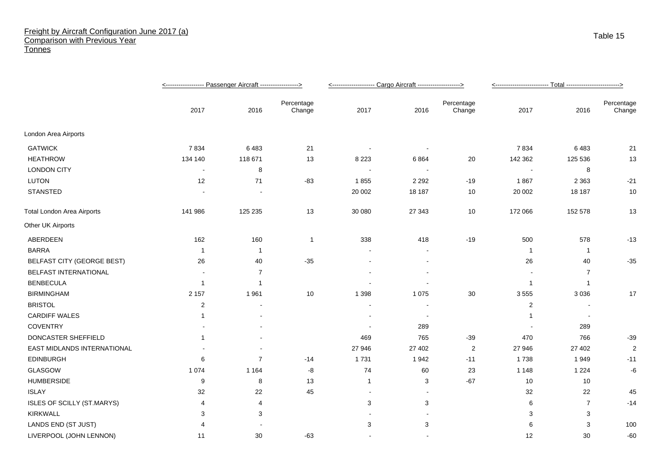## Freight by Aircraft Configuration June 2017 (a) Comparison with Previous Year **Tonnes**

|                                   |                |                |                      | <-------------------- Cargo Aircraft -------------------> |                |                      |                         |                |                      |
|-----------------------------------|----------------|----------------|----------------------|-----------------------------------------------------------|----------------|----------------------|-------------------------|----------------|----------------------|
|                                   | 2017           | 2016           | Percentage<br>Change | 2017                                                      | 2016           | Percentage<br>Change | 2017                    | 2016           | Percentage<br>Change |
| London Area Airports              |                |                |                      |                                                           |                |                      |                         |                |                      |
| <b>GATWICK</b>                    | 7834           | 6483           | 21                   |                                                           |                |                      | 7834                    | 6483           | 21                   |
| <b>HEATHROW</b>                   | 134 140        | 118 671        | 13                   | 8 2 2 3                                                   | 6864           | 20                   | 142 362                 | 125 536        | 13                   |
| <b>LONDON CITY</b>                | $\blacksquare$ | 8              |                      |                                                           | $\blacksquare$ |                      |                         | 8              |                      |
| <b>LUTON</b>                      | 12             | 71             | $-83$                | 1855                                                      | 2 2 9 2        | $-19$                | 1867                    | 2 3 6 3        | $-21$                |
| <b>STANSTED</b>                   |                |                |                      | 20 002                                                    | 18 187         | 10                   | 20 002                  | 18 187         | 10                   |
| <b>Total London Area Airports</b> | 141 986        | 125 235        | 13                   | 30 080                                                    | 27 343         | 10                   | 172 066                 | 152 578        | 13                   |
| Other UK Airports                 |                |                |                      |                                                           |                |                      |                         |                |                      |
| ABERDEEN                          | 162            | 160            | $\mathbf{1}$         | 338                                                       | 418            | $-19$                | 500                     | 578            | $-13$                |
| <b>BARRA</b>                      | $\overline{1}$ | $\mathbf 1$    |                      |                                                           |                |                      | $\overline{\mathbf{1}}$ | $\overline{1}$ |                      |
| <b>BELFAST CITY (GEORGE BEST)</b> | 26             | 40             | $-35$                |                                                           |                |                      | 26                      | 40             | $-35$                |
| BELFAST INTERNATIONAL             |                | $\overline{7}$ |                      |                                                           |                |                      |                         | 7              |                      |
| <b>BENBECULA</b>                  | $\mathbf{1}$   | 1              |                      |                                                           |                |                      | $\overline{1}$          | $\overline{1}$ |                      |
| <b>BIRMINGHAM</b>                 | 2 1 5 7        | 1961           | 10                   | 1 3 9 8                                                   | 1 0 7 5        | 30                   | 3 5 5 5                 | 3 0 3 6        | 17                   |
| <b>BRISTOL</b>                    | $\overline{2}$ |                |                      |                                                           |                |                      | 2                       |                |                      |
| <b>CARDIFF WALES</b>              |                |                |                      |                                                           | $\sim$         |                      | -1                      |                |                      |
| <b>COVENTRY</b>                   |                |                |                      |                                                           | 289            |                      |                         | 289            |                      |
| DONCASTER SHEFFIELD               | -1             |                |                      | 469                                                       | 765            | $-39$                | 470                     | 766            | $-39$                |
| EAST MIDLANDS INTERNATIONAL       |                |                |                      | 27 946                                                    | 27 402         | $\overline{2}$       | 27 946                  | 27 402         | $\overline{2}$       |
| <b>EDINBURGH</b>                  | 6              | $\overline{7}$ | $-14$                | 1731                                                      | 1942           | $-11$                | 1738                    | 1949           | $-11$                |
| GLASGOW                           | 1 0 7 4        | 1 1 6 4        | -8                   | 74                                                        | 60             | 23                   | 1 1 4 8                 | 1 2 2 4        | -6                   |
| <b>HUMBERSIDE</b>                 | 9              | 8              | 13                   | $\mathbf{1}$                                              | 3              | $-67$                | 10                      | $10$           |                      |
| <b>ISLAY</b>                      | 32             | 22             | 45                   | $\overline{\phantom{a}}$                                  |                |                      | 32                      | 22             | 45                   |
| ISLES OF SCILLY (ST.MARYS)        | $\overline{4}$ | 4              |                      | 3                                                         | 3              |                      | 6                       | $\overline{7}$ | $-14$                |
| <b>KIRKWALL</b>                   | 3              | 3              |                      |                                                           |                |                      | 3                       | 3              |                      |
| LANDS END (ST JUST)               | 4              |                |                      | 3                                                         | 3              |                      | 6                       | 3              | 100                  |
| LIVERPOOL (JOHN LENNON)           | 11             | 30             | $-63$                |                                                           |                |                      | 12                      | 30             | $-60$                |